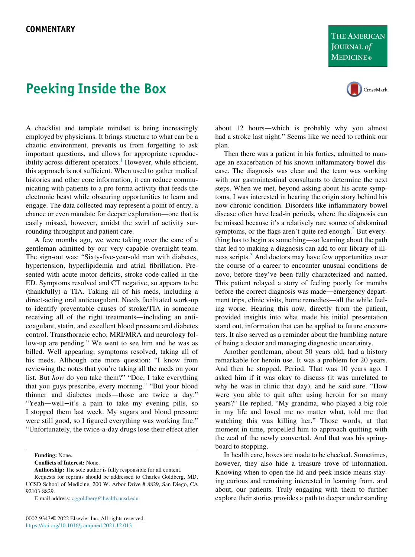## THE AMERICAN **JOURNAL of MEDICINE**®



## Peeking Inside the Box

A checklist and template mindset is being increasingly employed by physicians. It brings structure to what can be a chaotic environment, prevents us from forgetting to ask important questions, and allows for appropriate reproduc-ibility across different operators.<sup>[1](#page-1-0)</sup> However, while efficient, this approach is not sufficient. When used to gather medical histories and other core information, it can reduce communicating with patients to a pro forma activity that feeds the electronic beast while obscuring opportunities to learn and engage. The data collected may represent a point of entry, a chance or even mandate for deeper exploration—one that is easily missed, however, amidst the swirl of activity surrounding throughput and patient care.

A few months ago, we were taking over the care of a gentleman admitted by our very capable overnight team. The sign-out was: "Sixty-five-year-old man with diabetes, hypertension, hyperlipidemia and atrial fibrillation. Presented with acute motor deficits, stroke code called in the ED. Symptoms resolved and CT negative, so appears to be (thankfully) a TIA. Taking all of his meds, including a direct-acting oral anticoagulant. Needs facilitated work-up to identify preventable causes of stroke/TIA in someone receiving all of the right treatments—including an anticoagulant, statin, and excellent blood pressure and diabetes control. Transthoracic echo, MRI/MRA and neurology follow-up are pending." We went to see him and he was as billed. Well appearing, symptoms resolved, taking all of his meds. Although one more question: "I know from reviewing the notes that you're taking all the meds on your list. But how do you take them?" "Doc, I take everything that you guys prescribe, every morning." "But your blood thinner and diabetes meds—those are twice a day." "Yeah—well−it's a pain to take my evening pills, so I stopped them last week. My sugars and blood pressure were still good, so I figured everything was working fine." "Unfortunately, the twice-a-day drugs lose their effect after

Funding: None.

Conflicts of Interest: None.

Authorship: The sole author is fully responsible for all content.

Requests for reprints should be addressed to Charles Goldberg, MD, UCSD School of Medicine, 200 W. Arbor Drive # 8829, San Diego, CA 92103-8829.

E-mail address: [cggoldberg@health.ucsd.edu](mailto:cggoldberg@health.ucsd.edu)

about 12 hours—which is probably why you almost had a stroke last night." Seems like we need to rethink our plan.

Then there was a patient in his forties, admitted to manage an exacerbation of his known inflammatory bowel disease. The diagnosis was clear and the team was working with our gastrointestinal consultants to determine the next steps. When we met, beyond asking about his acute symptoms, I was interested in hearing the origin story behind his now chronic condition. Disorders like inflammatory bowel disease often have lead-in periods, where the diagnosis can be missed because it's a relatively rare source of abdominal symptoms, or the flags aren't quite red enough. $<sup>2</sup>$  $<sup>2</sup>$  $<sup>2</sup>$  But every-</sup> thing has to begin as something—so learning about the path that led to making a diagnosis can add to our library of ill-ness scripts.<sup>[3](#page-1-2)</sup> And doctors may have few opportunities over the course of a career to encounter unusual conditions de novo, before they've been fully characterized and named. This patient relayed a story of feeling poorly for months before the correct diagnosis was made—emergency department trips, clinic visits, home remedies—all the while feeling worse. Hearing this now, directly from the patient, provided insights into what made his initial presentation stand out, information that can be applied to future encounters. It also served as a reminder about the humbling nature of being a doctor and managing diagnostic uncertainty.

Another gentleman, about 50 years old, had a history remarkable for heroin use. It was a problem for 20 years. And then he stopped. Period. That was 10 years ago. I asked him if it was okay to discuss (it was unrelated to why he was in clinic that day), and he said sure. "How were you able to quit after using heroin for so many years?" He replied, "My grandma, who played a big role in my life and loved me no matter what, told me that watching this was killing her." Those words, at that moment in time, propelled him to approach quitting with the zeal of the newly converted. And that was his springboard to stopping.

In health care, boxes are made to be checked. Sometimes, however, they also hide a treasure trove of information. Knowing when to open the lid and peek inside means staying curious and remaining interested in learning from, and about, our patients. Truly engaging with them to further explore their stories provides a path to deeper understanding